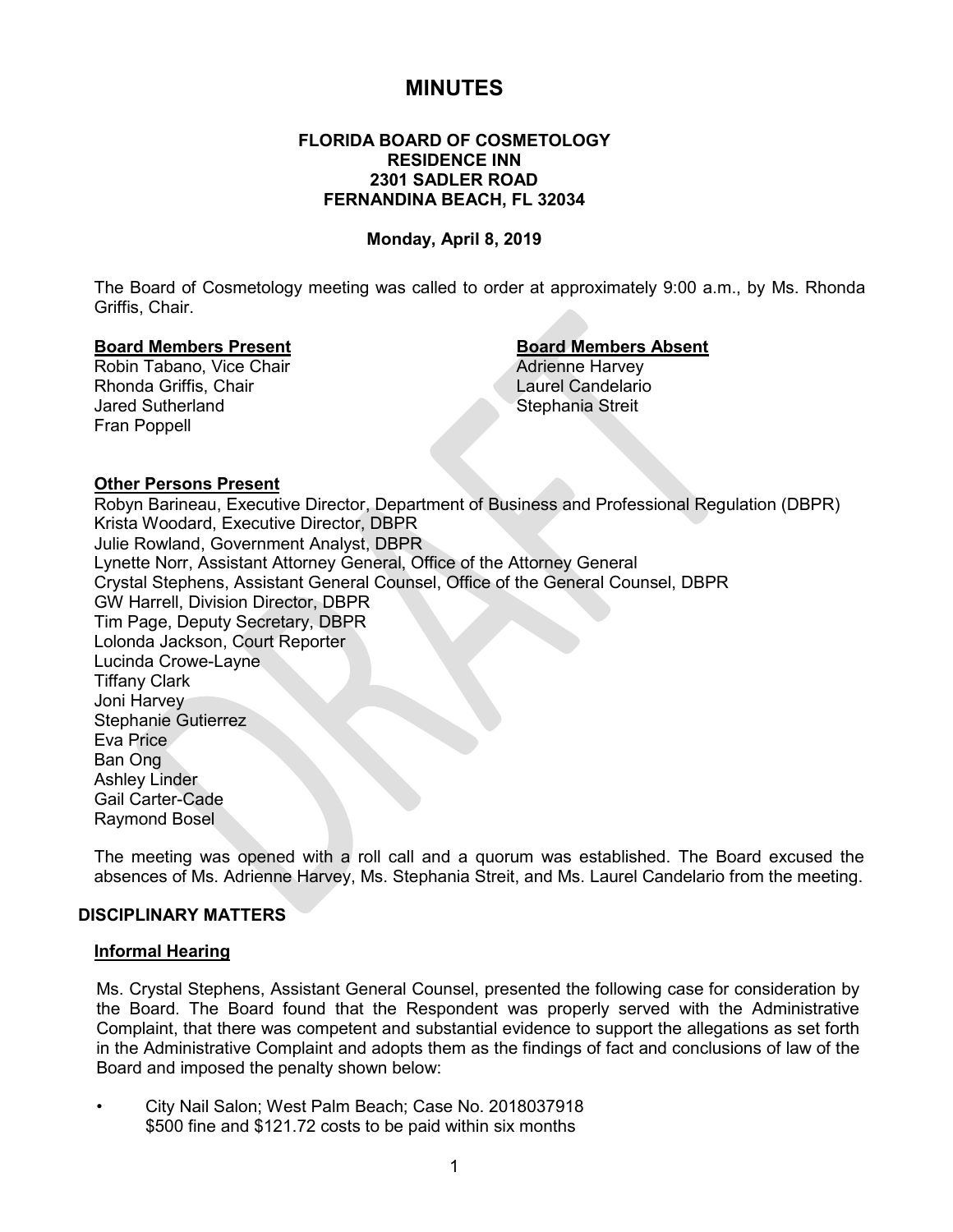# **MINUTES**

## **FLORIDA BOARD OF COSMETOLOGY RESIDENCE INN 2301 SADLER ROAD FERNANDINA BEACH, FL 32034**

## **Monday, April 8, 2019**

The Board of Cosmetology meeting was called to order at approximately 9:00 a.m., by Ms. Rhonda Griffis, Chair.

#### **Board Members Present Board Members Absent**

Robin Tabano, Vice Chair **Adrienne Harvey** Adrienne Harvey Rhonda Griffis, Chair **Laurel Candelario** Jared Sutherland Stephania Streit Fran Poppell

#### **Other Persons Present**

Robyn Barineau, Executive Director, Department of Business and Professional Regulation (DBPR) Krista Woodard, Executive Director, DBPR Julie Rowland, Government Analyst, DBPR Lynette Norr, Assistant Attorney General, Office of the Attorney General Crystal Stephens, Assistant General Counsel, Office of the General Counsel, DBPR GW Harrell, Division Director, DBPR Tim Page, Deputy Secretary, DBPR Lolonda Jackson, Court Reporter Lucinda Crowe-Layne Tiffany Clark Joni Harvey Stephanie Gutierrez Eva Price Ban Ong Ashley Linder Gail Carter-Cade Raymond Bosel

The meeting was opened with a roll call and a quorum was established. The Board excused the absences of Ms. Adrienne Harvey, Ms. Stephania Streit, and Ms. Laurel Candelario from the meeting.

## **DISCIPLINARY MATTERS**

#### **Informal Hearing**

Ms. Crystal Stephens, Assistant General Counsel, presented the following case for consideration by the Board. The Board found that the Respondent was properly served with the Administrative Complaint, that there was competent and substantial evidence to support the allegations as set forth in the Administrative Complaint and adopts them as the findings of fact and conclusions of law of the Board and imposed the penalty shown below:

• City Nail Salon; West Palm Beach; Case No. 2018037918 \$500 fine and \$121.72 costs to be paid within six months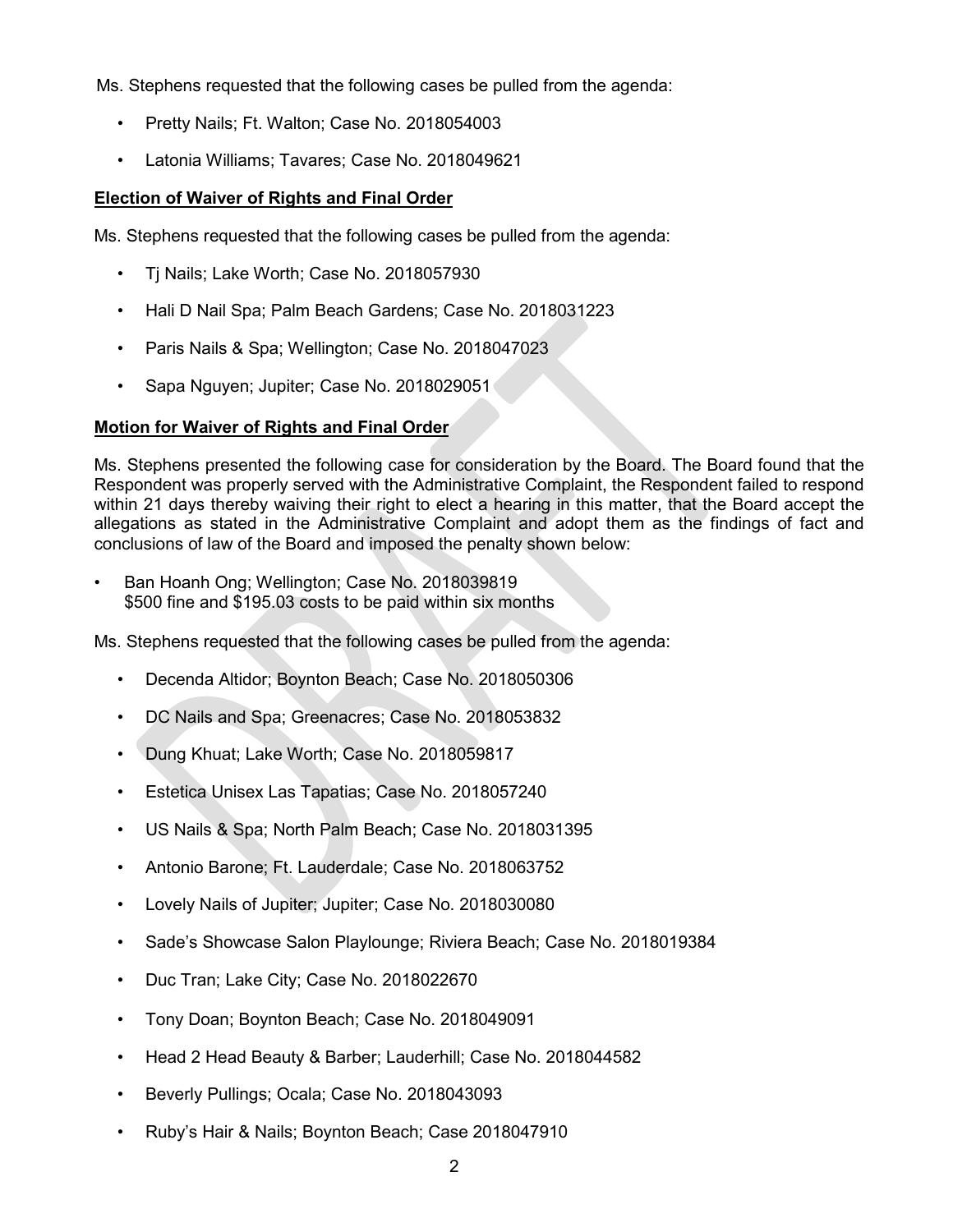Ms. Stephens requested that the following cases be pulled from the agenda:

- Pretty Nails; Ft. Walton; Case No. 2018054003
- Latonia Williams; Tavares; Case No. 2018049621

# **Election of Waiver of Rights and Final Order**

Ms. Stephens requested that the following cases be pulled from the agenda:

- Tj Nails; Lake Worth; Case No. 2018057930
- Hali D Nail Spa; Palm Beach Gardens; Case No. 2018031223
- Paris Nails & Spa; Wellington; Case No. 2018047023
- Sapa Nguyen; Jupiter; Case No. 2018029051

# **Motion for Waiver of Rights and Final Order**

Ms. Stephens presented the following case for consideration by the Board. The Board found that the Respondent was properly served with the Administrative Complaint, the Respondent failed to respond within 21 days thereby waiving their right to elect a hearing in this matter, that the Board accept the allegations as stated in the Administrative Complaint and adopt them as the findings of fact and conclusions of law of the Board and imposed the penalty shown below:

• Ban Hoanh Ong; Wellington; Case No. 2018039819 \$500 fine and \$195.03 costs to be paid within six months

Ms. Stephens requested that the following cases be pulled from the agenda:

- Decenda Altidor; Boynton Beach; Case No. 2018050306
- DC Nails and Spa; Greenacres; Case No. 2018053832
- Dung Khuat; Lake Worth; Case No. 2018059817
- Estetica Unisex Las Tapatias; Case No. 2018057240
- US Nails & Spa; North Palm Beach; Case No. 2018031395
- Antonio Barone; Ft. Lauderdale; Case No. 2018063752
- Lovely Nails of Jupiter; Jupiter; Case No. 2018030080
- Sade's Showcase Salon Playlounge; Riviera Beach; Case No. 2018019384
- Duc Tran; Lake City; Case No. 2018022670
- Tony Doan; Boynton Beach; Case No. 2018049091
- Head 2 Head Beauty & Barber; Lauderhill; Case No. 2018044582
- Beverly Pullings; Ocala; Case No. 2018043093
- Ruby's Hair & Nails; Boynton Beach; Case 2018047910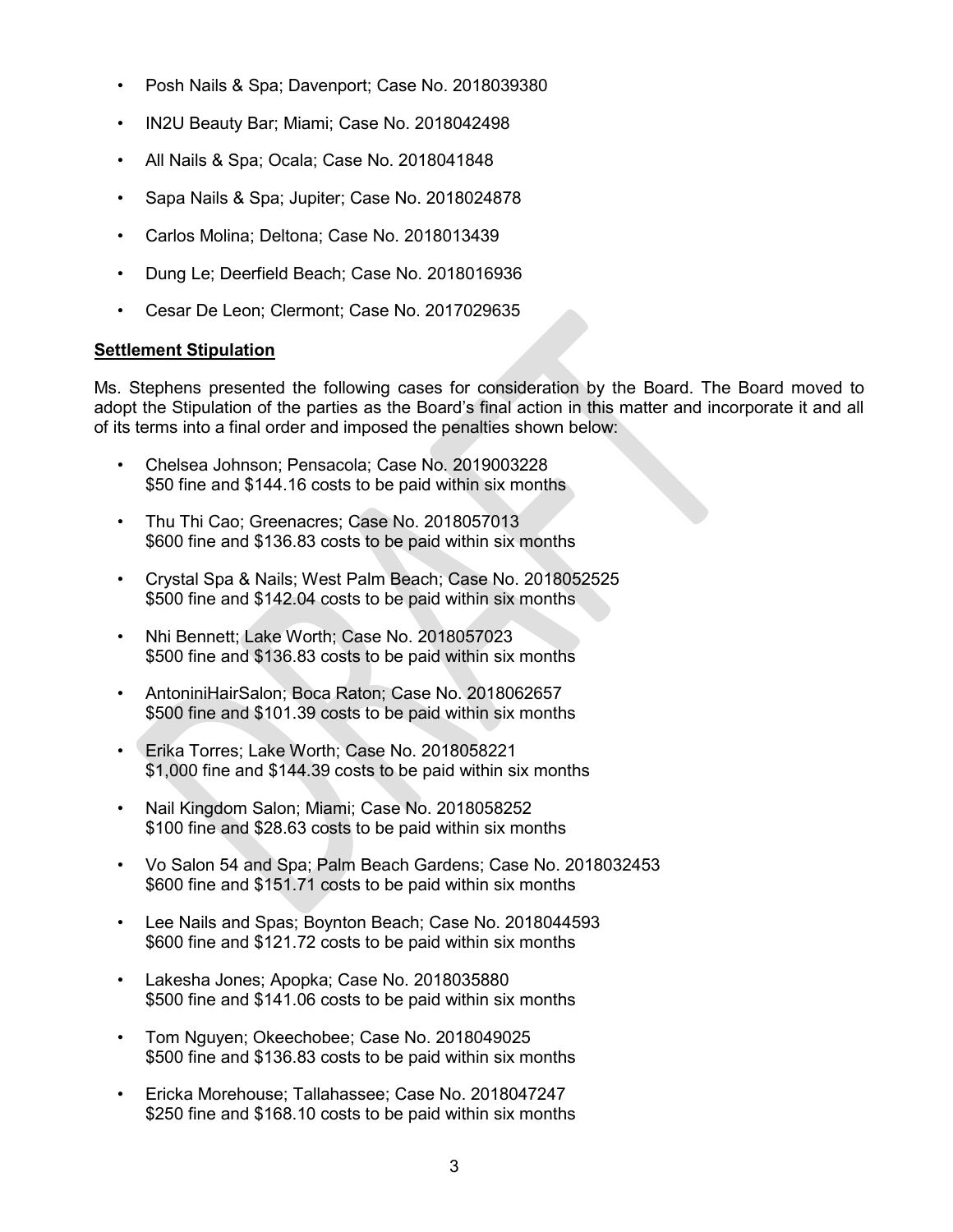- Posh Nails & Spa; Davenport; Case No. 2018039380
- IN2U Beauty Bar; Miami; Case No. 2018042498
- All Nails & Spa; Ocala; Case No. 2018041848
- Sapa Nails & Spa; Jupiter; Case No. 2018024878
- Carlos Molina; Deltona; Case No. 2018013439
- Dung Le; Deerfield Beach; Case No. 2018016936
- Cesar De Leon; Clermont; Case No. 2017029635

# **Settlement Stipulation**

Ms. Stephens presented the following cases for consideration by the Board. The Board moved to adopt the Stipulation of the parties as the Board's final action in this matter and incorporate it and all of its terms into a final order and imposed the penalties shown below:

- Chelsea Johnson; Pensacola; Case No. 2019003228 \$50 fine and \$144.16 costs to be paid within six months
- Thu Thi Cao; Greenacres; Case No. 2018057013 \$600 fine and \$136.83 costs to be paid within six months
- Crystal Spa & Nails; West Palm Beach; Case No. 2018052525 \$500 fine and \$142.04 costs to be paid within six months
- Nhi Bennett; Lake Worth; Case No. 2018057023 \$500 fine and \$136.83 costs to be paid within six months
- AntoniniHairSalon; Boca Raton; Case No. 2018062657 \$500 fine and \$101.39 costs to be paid within six months
- Erika Torres; Lake Worth; Case No. 2018058221 \$1,000 fine and \$144.39 costs to be paid within six months
- Nail Kingdom Salon; Miami; Case No. 2018058252 \$100 fine and \$28.63 costs to be paid within six months
- Vo Salon 54 and Spa; Palm Beach Gardens; Case No. 2018032453 \$600 fine and \$151.71 costs to be paid within six months
- Lee Nails and Spas; Boynton Beach; Case No. 2018044593 \$600 fine and \$121.72 costs to be paid within six months
- Lakesha Jones; Apopka; Case No. 2018035880 \$500 fine and \$141.06 costs to be paid within six months
- Tom Nguyen; Okeechobee; Case No. 2018049025 \$500 fine and \$136.83 costs to be paid within six months
- Ericka Morehouse; Tallahassee; Case No. 2018047247 \$250 fine and \$168.10 costs to be paid within six months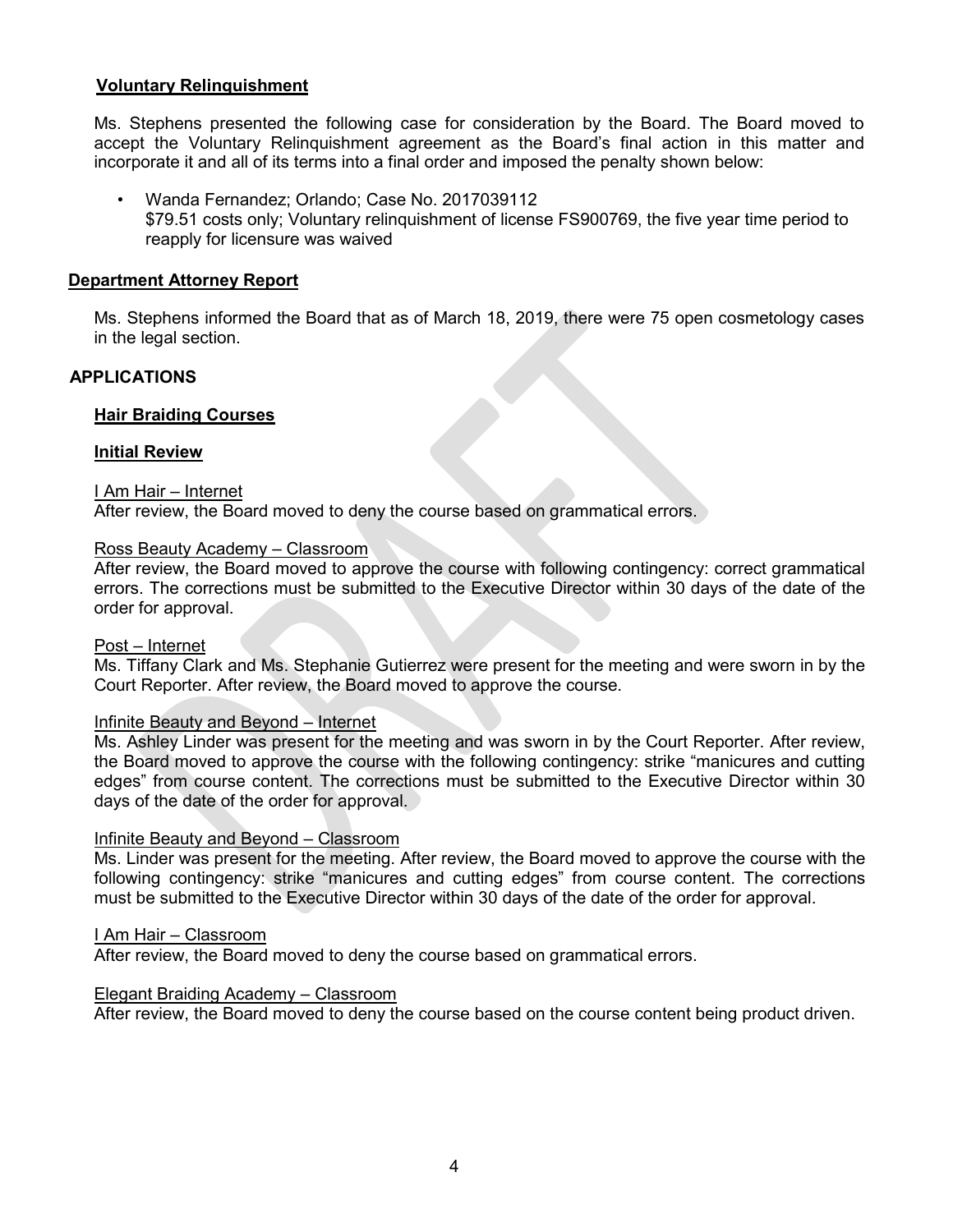## **Voluntary Relinquishment**

Ms. Stephens presented the following case for consideration by the Board. The Board moved to accept the Voluntary Relinquishment agreement as the Board's final action in this matter and incorporate it and all of its terms into a final order and imposed the penalty shown below:

• Wanda Fernandez; Orlando; Case No. 2017039112 \$79.51 costs only; Voluntary relinquishment of license FS900769, the five year time period to reapply for licensure was waived

#### **Department Attorney Report**

Ms. Stephens informed the Board that as of March 18, 2019, there were 75 open cosmetology cases in the legal section.

## **APPLICATIONS**

#### **Hair Braiding Courses**

#### **Initial Review**

#### I Am Hair – Internet

After review, the Board moved to deny the course based on grammatical errors.

## Ross Beauty Academy – Classroom

After review, the Board moved to approve the course with following contingency: correct grammatical errors. The corrections must be submitted to the Executive Director within 30 days of the date of the order for approval.

#### Post – Internet

Ms. Tiffany Clark and Ms. Stephanie Gutierrez were present for the meeting and were sworn in by the Court Reporter. After review, the Board moved to approve the course.

#### Infinite Beauty and Beyond – Internet

Ms. Ashley Linder was present for the meeting and was sworn in by the Court Reporter. After review, the Board moved to approve the course with the following contingency: strike "manicures and cutting edges" from course content. The corrections must be submitted to the Executive Director within 30 days of the date of the order for approval.

#### Infinite Beauty and Beyond – Classroom

Ms. Linder was present for the meeting. After review, the Board moved to approve the course with the following contingency: strike "manicures and cutting edges" from course content. The corrections must be submitted to the Executive Director within 30 days of the date of the order for approval.

#### I Am Hair – Classroom

After review, the Board moved to deny the course based on grammatical errors.

#### Elegant Braiding Academy – Classroom

After review, the Board moved to deny the course based on the course content being product driven.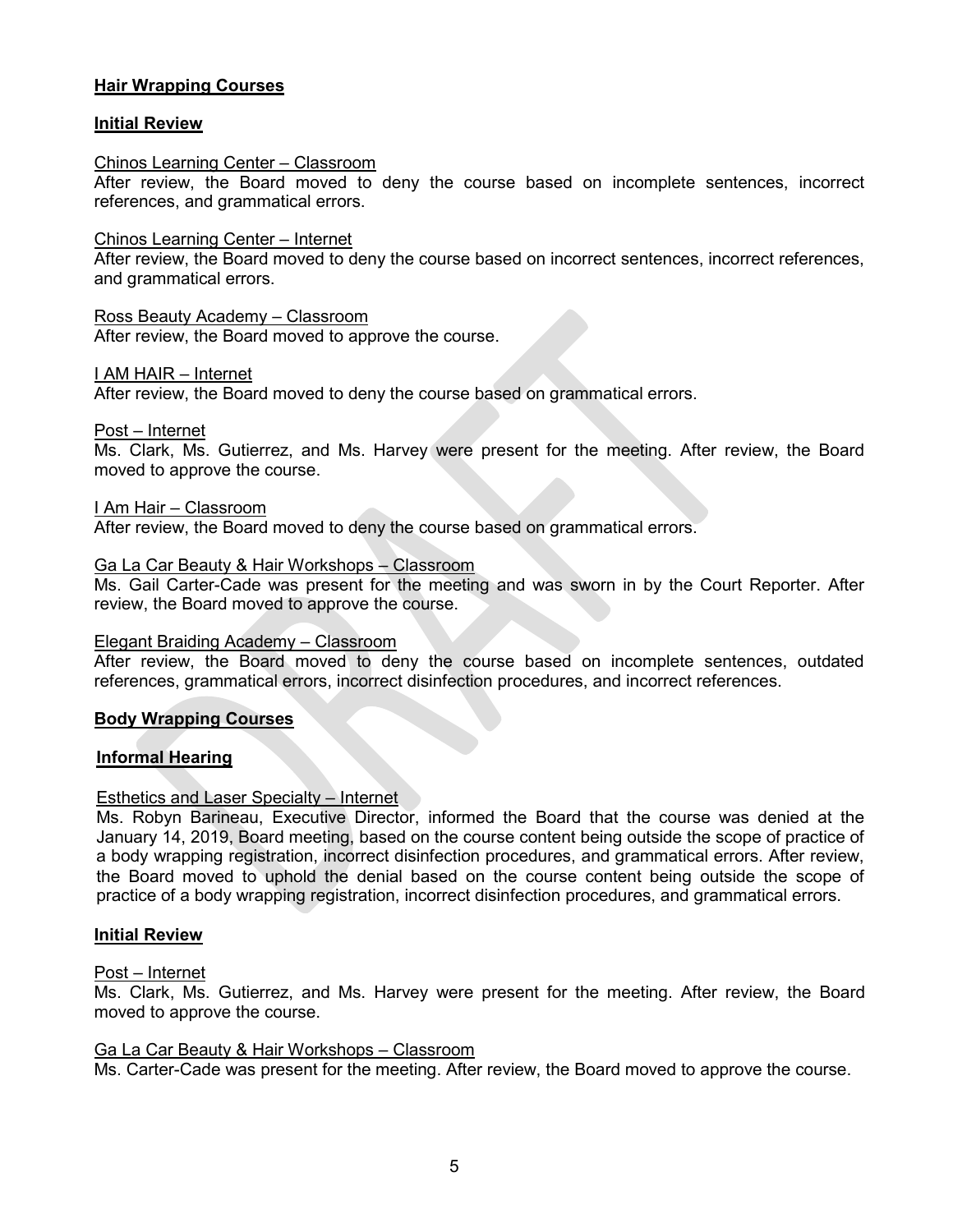# **Hair Wrapping Courses**

## **Initial Review**

#### Chinos Learning Center – Classroom

After review, the Board moved to deny the course based on incomplete sentences, incorrect references, and grammatical errors.

#### Chinos Learning Center – Internet

After review, the Board moved to deny the course based on incorrect sentences, incorrect references, and grammatical errors.

#### Ross Beauty Academy – Classroom

After review, the Board moved to approve the course.

#### I AM HAIR – Internet

After review, the Board moved to deny the course based on grammatical errors.

Post – Internet

Ms. Clark, Ms. Gutierrez, and Ms. Harvey were present for the meeting. After review, the Board moved to approve the course.

I Am Hair – Classroom

After review, the Board moved to deny the course based on grammatical errors.

#### Ga La Car Beauty & Hair Workshops – Classroom

Ms. Gail Carter-Cade was present for the meeting and was sworn in by the Court Reporter. After review, the Board moved to approve the course.

#### Elegant Braiding Academy – Classroom

After review, the Board moved to deny the course based on incomplete sentences, outdated references, grammatical errors, incorrect disinfection procedures, and incorrect references.

#### **Body Wrapping Courses**

#### **Informal Hearing**

#### Esthetics and Laser Specialty – Internet

Ms. Robyn Barineau, Executive Director, informed the Board that the course was denied at the January 14, 2019, Board meeting, based on the course content being outside the scope of practice of a body wrapping registration, incorrect disinfection procedures, and grammatical errors. After review, the Board moved to uphold the denial based on the course content being outside the scope of practice of a body wrapping registration, incorrect disinfection procedures, and grammatical errors.

#### **Initial Review**

#### Post – Internet

Ms. Clark, Ms. Gutierrez, and Ms. Harvey were present for the meeting. After review, the Board moved to approve the course.

#### Ga La Car Beauty & Hair Workshops – Classroom

Ms. Carter-Cade was present for the meeting. After review, the Board moved to approve the course.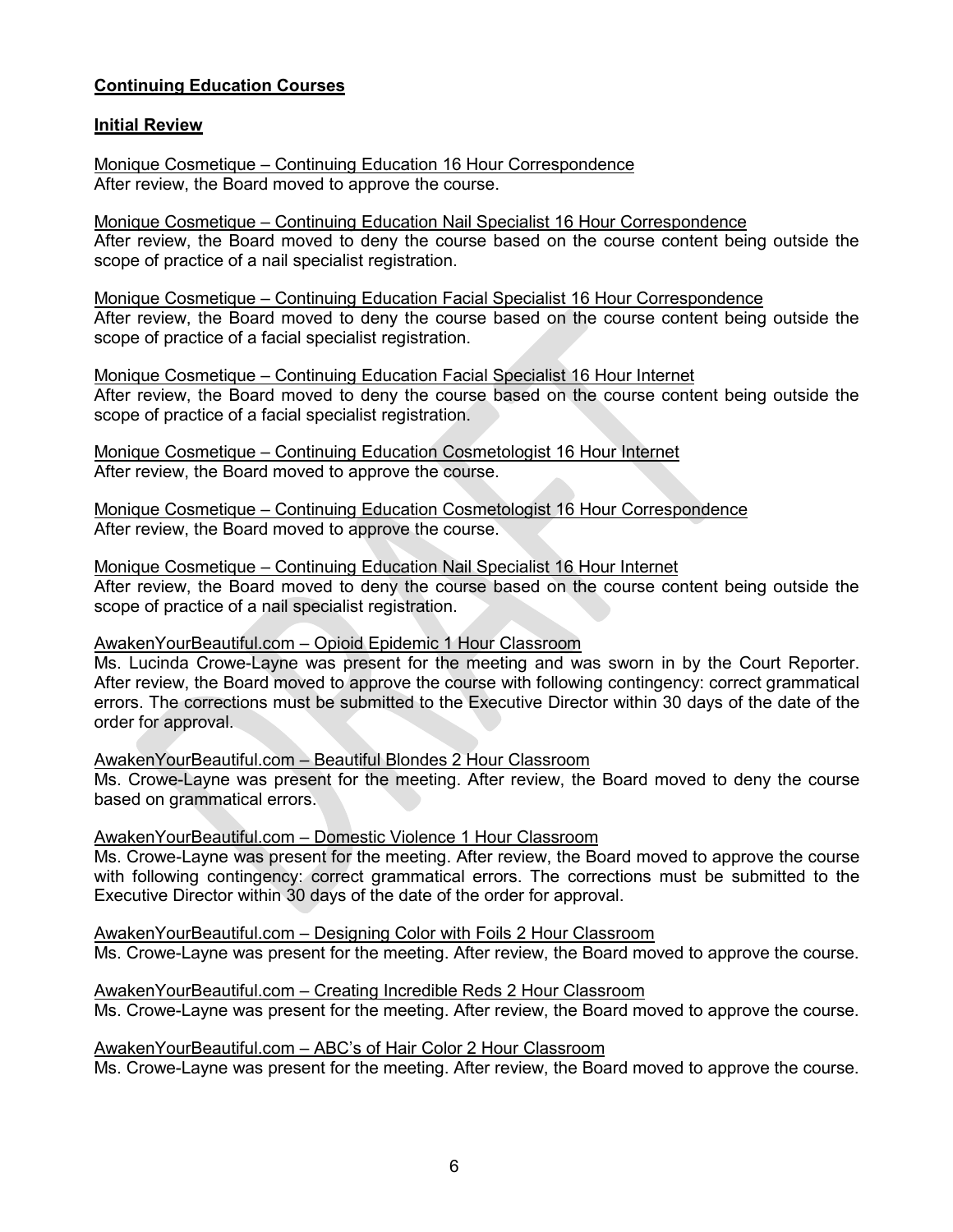# **Continuing Education Courses**

## **Initial Review**

Monique Cosmetique – Continuing Education 16 Hour Correspondence After review, the Board moved to approve the course.

Monique Cosmetique – Continuing Education Nail Specialist 16 Hour Correspondence After review, the Board moved to deny the course based on the course content being outside the scope of practice of a nail specialist registration.

Monique Cosmetique – Continuing Education Facial Specialist 16 Hour Correspondence After review, the Board moved to deny the course based on the course content being outside the scope of practice of a facial specialist registration.

Monique Cosmetique – Continuing Education Facial Specialist 16 Hour Internet After review, the Board moved to deny the course based on the course content being outside the scope of practice of a facial specialist registration.

Monique Cosmetique – Continuing Education Cosmetologist 16 Hour Internet After review, the Board moved to approve the course.

Monique Cosmetique – Continuing Education Cosmetologist 16 Hour Correspondence After review, the Board moved to approve the course.

Monique Cosmetique – Continuing Education Nail Specialist 16 Hour Internet After review, the Board moved to deny the course based on the course content being outside the scope of practice of a nail specialist registration.

#### AwakenYourBeautiful.com – Opioid Epidemic 1 Hour Classroom

Ms. Lucinda Crowe-Layne was present for the meeting and was sworn in by the Court Reporter. After review, the Board moved to approve the course with following contingency: correct grammatical errors. The corrections must be submitted to the Executive Director within 30 days of the date of the order for approval.

AwakenYourBeautiful.com – Beautiful Blondes 2 Hour Classroom Ms. Crowe-Layne was present for the meeting. After review, the Board moved to deny the course based on grammatical errors.

#### AwakenYourBeautiful.com – Domestic Violence 1 Hour Classroom

Ms. Crowe-Layne was present for the meeting. After review, the Board moved to approve the course with following contingency: correct grammatical errors. The corrections must be submitted to the Executive Director within 30 days of the date of the order for approval.

AwakenYourBeautiful.com – Designing Color with Foils 2 Hour Classroom Ms. Crowe-Layne was present for the meeting. After review, the Board moved to approve the course.

AwakenYourBeautiful.com – Creating Incredible Reds 2 Hour Classroom Ms. Crowe-Layne was present for the meeting. After review, the Board moved to approve the course.

AwakenYourBeautiful.com – ABC's of Hair Color 2 Hour Classroom Ms. Crowe-Layne was present for the meeting. After review, the Board moved to approve the course.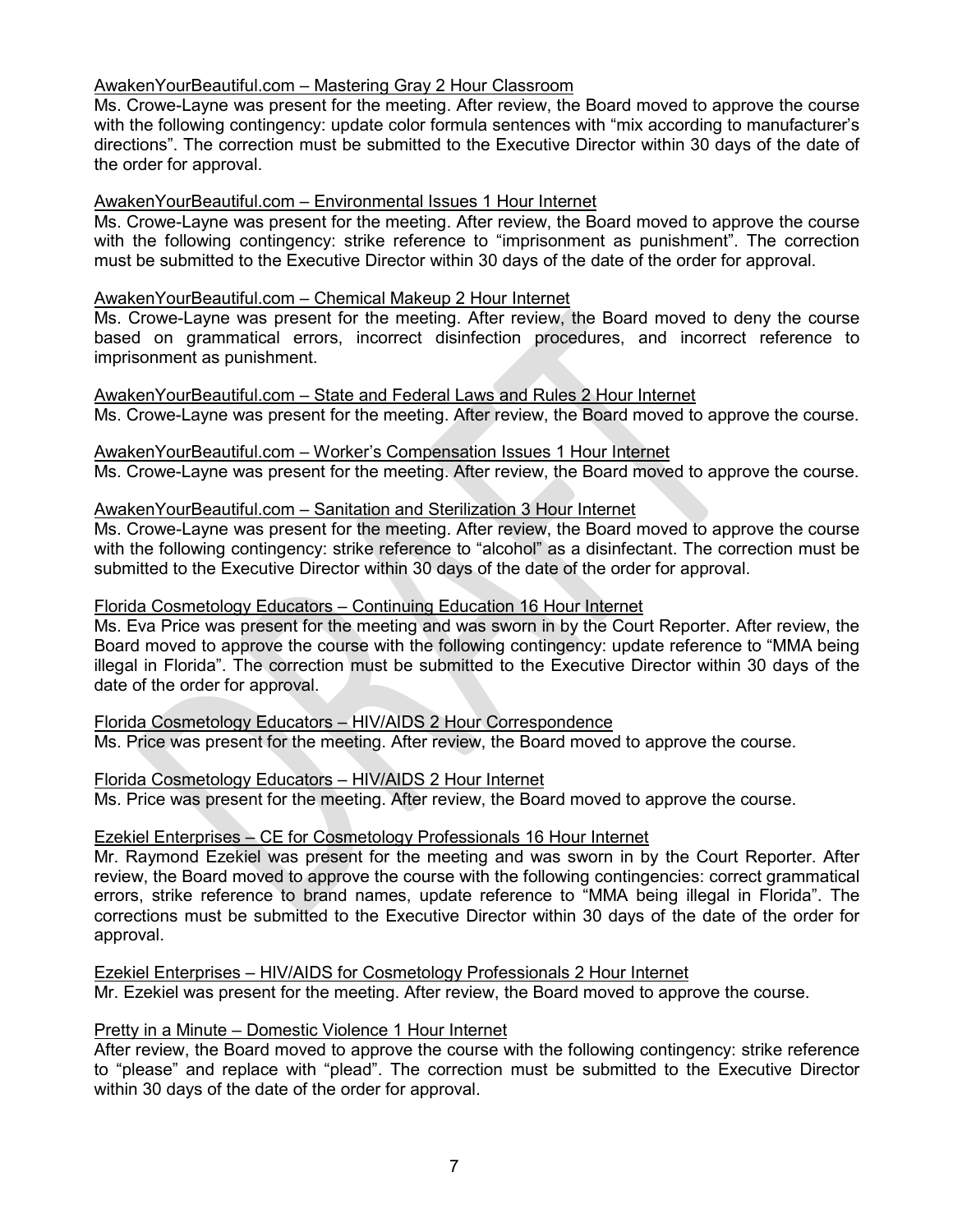# AwakenYourBeautiful.com – Mastering Gray 2 Hour Classroom

Ms. Crowe-Layne was present for the meeting. After review, the Board moved to approve the course with the following contingency: update color formula sentences with "mix according to manufacturer's directions". The correction must be submitted to the Executive Director within 30 days of the date of the order for approval.

## AwakenYourBeautiful.com – Environmental Issues 1 Hour Internet

Ms. Crowe-Layne was present for the meeting. After review, the Board moved to approve the course with the following contingency: strike reference to "imprisonment as punishment". The correction must be submitted to the Executive Director within 30 days of the date of the order for approval.

#### AwakenYourBeautiful.com – Chemical Makeup 2 Hour Internet

Ms. Crowe-Layne was present for the meeting. After review, the Board moved to deny the course based on grammatical errors, incorrect disinfection procedures, and incorrect reference to imprisonment as punishment.

AwakenYourBeautiful.com – State and Federal Laws and Rules 2 Hour Internet Ms. Crowe-Layne was present for the meeting. After review, the Board moved to approve the course.

AwakenYourBeautiful.com – Worker's Compensation Issues 1 Hour Internet Ms. Crowe-Layne was present for the meeting. After review, the Board moved to approve the course.

## AwakenYourBeautiful.com – Sanitation and Sterilization 3 Hour Internet

Ms. Crowe-Layne was present for the meeting. After review, the Board moved to approve the course with the following contingency: strike reference to "alcohol" as a disinfectant. The correction must be submitted to the Executive Director within 30 days of the date of the order for approval.

#### Florida Cosmetology Educators – Continuing Education 16 Hour Internet

Ms. Eva Price was present for the meeting and was sworn in by the Court Reporter. After review, the Board moved to approve the course with the following contingency: update reference to "MMA being illegal in Florida". The correction must be submitted to the Executive Director within 30 days of the date of the order for approval.

#### Florida Cosmetology Educators – HIV/AIDS 2 Hour Correspondence

Ms. Price was present for the meeting. After review, the Board moved to approve the course.

#### Florida Cosmetology Educators – HIV/AIDS 2 Hour Internet

Ms. Price was present for the meeting. After review, the Board moved to approve the course.

#### Ezekiel Enterprises – CE for Cosmetology Professionals 16 Hour Internet

Mr. Raymond Ezekiel was present for the meeting and was sworn in by the Court Reporter. After review, the Board moved to approve the course with the following contingencies: correct grammatical errors, strike reference to brand names, update reference to "MMA being illegal in Florida". The corrections must be submitted to the Executive Director within 30 days of the date of the order for approval.

Ezekiel Enterprises – HIV/AIDS for Cosmetology Professionals 2 Hour Internet Mr. Ezekiel was present for the meeting. After review, the Board moved to approve the course.

# Pretty in a Minute – Domestic Violence 1 Hour Internet

After review, the Board moved to approve the course with the following contingency: strike reference to "please" and replace with "plead". The correction must be submitted to the Executive Director within 30 days of the date of the order for approval.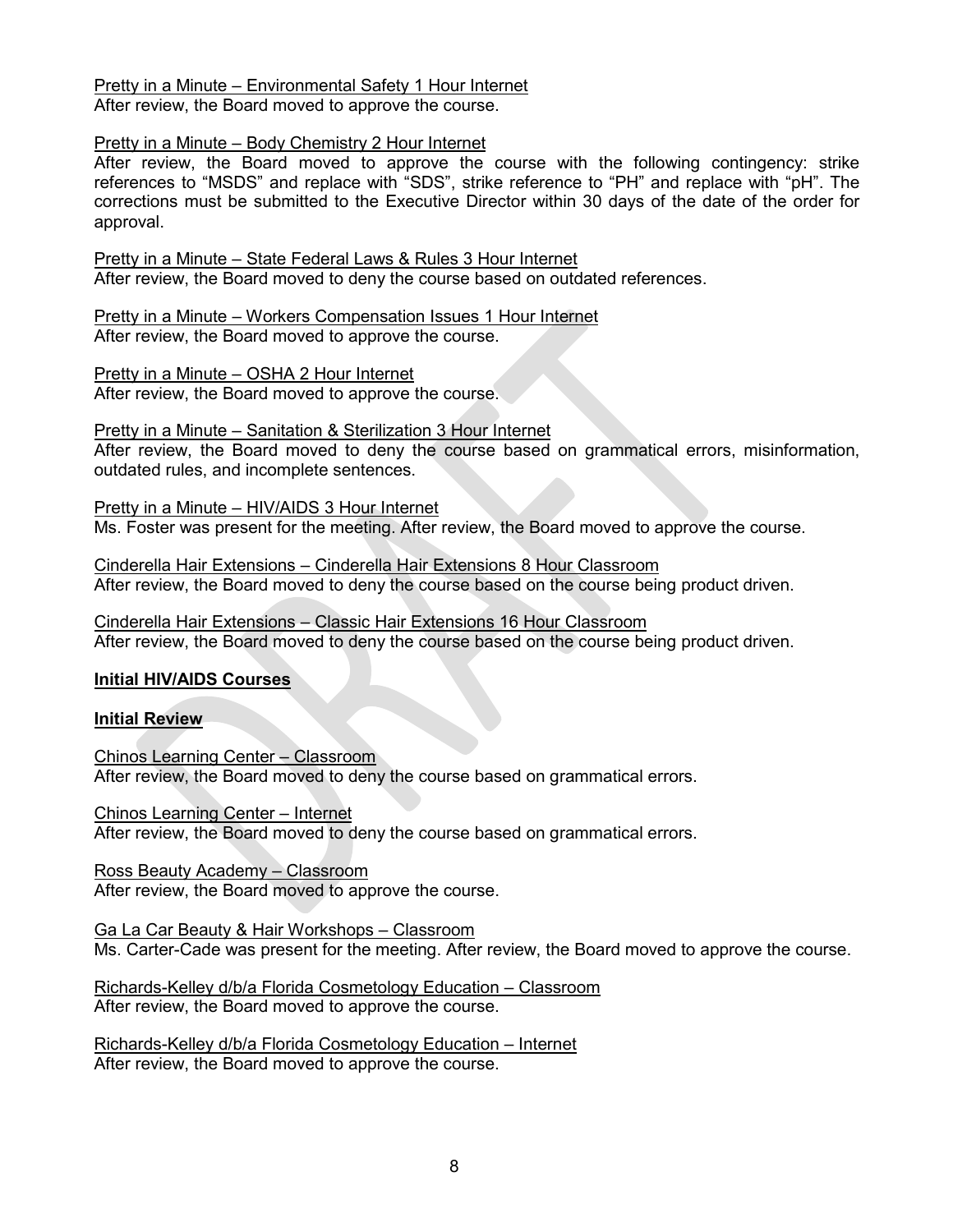Pretty in a Minute – Environmental Safety 1 Hour Internet After review, the Board moved to approve the course.

# Pretty in a Minute – Body Chemistry 2 Hour Internet

After review, the Board moved to approve the course with the following contingency: strike references to "MSDS" and replace with "SDS", strike reference to "PH" and replace with "pH". The corrections must be submitted to the Executive Director within 30 days of the date of the order for approval.

Pretty in a Minute – State Federal Laws & Rules 3 Hour Internet After review, the Board moved to deny the course based on outdated references.

Pretty in a Minute – Workers Compensation Issues 1 Hour Internet After review, the Board moved to approve the course.

Pretty in a Minute – OSHA 2 Hour Internet After review, the Board moved to approve the course.

Pretty in a Minute – Sanitation & Sterilization 3 Hour Internet

After review, the Board moved to deny the course based on grammatical errors, misinformation, outdated rules, and incomplete sentences.

Pretty in a Minute – HIV/AIDS 3 Hour Internet Ms. Foster was present for the meeting. After review, the Board moved to approve the course.

Cinderella Hair Extensions – Cinderella Hair Extensions 8 Hour Classroom After review, the Board moved to deny the course based on the course being product driven.

Cinderella Hair Extensions – Classic Hair Extensions 16 Hour Classroom After review, the Board moved to deny the course based on the course being product driven.

# **Initial HIV/AIDS Courses**

# **Initial Review**

Chinos Learning Center – Classroom After review, the Board moved to deny the course based on grammatical errors.

Chinos Learning Center – Internet After review, the Board moved to deny the course based on grammatical errors.

Ross Beauty Academy – Classroom After review, the Board moved to approve the course.

Ga La Car Beauty & Hair Workshops – Classroom Ms. Carter-Cade was present for the meeting. After review, the Board moved to approve the course.

Richards-Kelley d/b/a Florida Cosmetology Education – Classroom After review, the Board moved to approve the course.

Richards-Kelley d/b/a Florida Cosmetology Education – Internet After review, the Board moved to approve the course.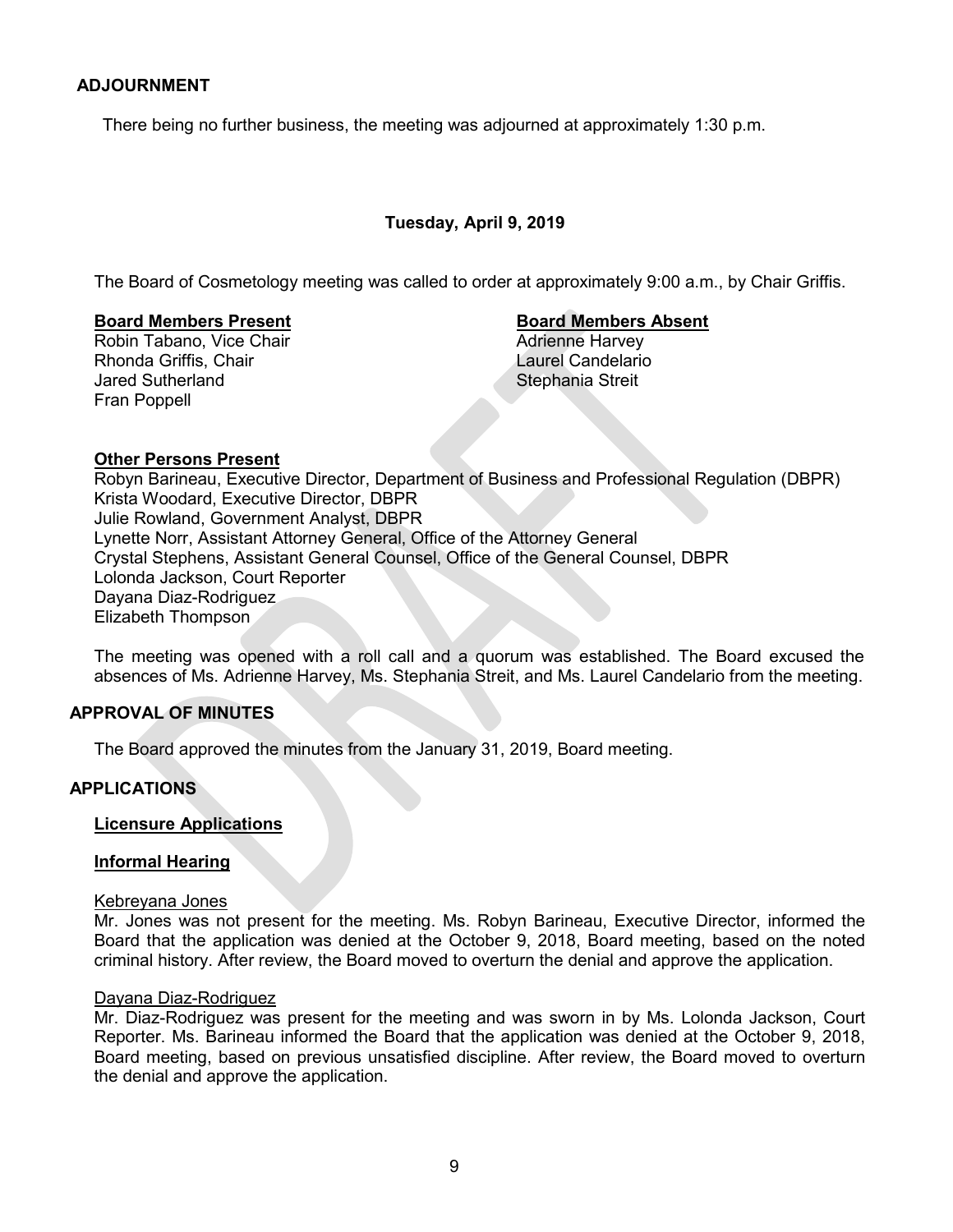## **ADJOURNMENT**

There being no further business, the meeting was adjourned at approximately 1:30 p.m.

# **Tuesday, April 9, 2019**

The Board of Cosmetology meeting was called to order at approximately 9:00 a.m., by Chair Griffis.

#### **Board Members Present Board Members Absent**

Robin Tabano, Vice Chair **Adrienne Harvey Adrienne Harvey** Rhonda Griffis, Chair **Laurel Candelario** Jared Sutherland Stephania Streit Fran Poppell

#### **Other Persons Present**

Robyn Barineau, Executive Director, Department of Business and Professional Regulation (DBPR) Krista Woodard, Executive Director, DBPR Julie Rowland, Government Analyst, DBPR Lynette Norr, Assistant Attorney General, Office of the Attorney General Crystal Stephens, Assistant General Counsel, Office of the General Counsel, DBPR Lolonda Jackson, Court Reporter Dayana Diaz-Rodriguez Elizabeth Thompson

The meeting was opened with a roll call and a quorum was established. The Board excused the absences of Ms. Adrienne Harvey, Ms. Stephania Streit, and Ms. Laurel Candelario from the meeting.

## **APPROVAL OF MINUTES**

The Board approved the minutes from the January 31, 2019, Board meeting.

# **APPLICATIONS**

# **Licensure Applications**

#### **Informal Hearing**

#### Kebreyana Jones

Mr. Jones was not present for the meeting. Ms. Robyn Barineau, Executive Director, informed the Board that the application was denied at the October 9, 2018, Board meeting, based on the noted criminal history. After review, the Board moved to overturn the denial and approve the application.

#### Dayana Diaz-Rodriguez

Mr. Diaz-Rodriguez was present for the meeting and was sworn in by Ms. Lolonda Jackson, Court Reporter. Ms. Barineau informed the Board that the application was denied at the October 9, 2018, Board meeting, based on previous unsatisfied discipline. After review, the Board moved to overturn the denial and approve the application.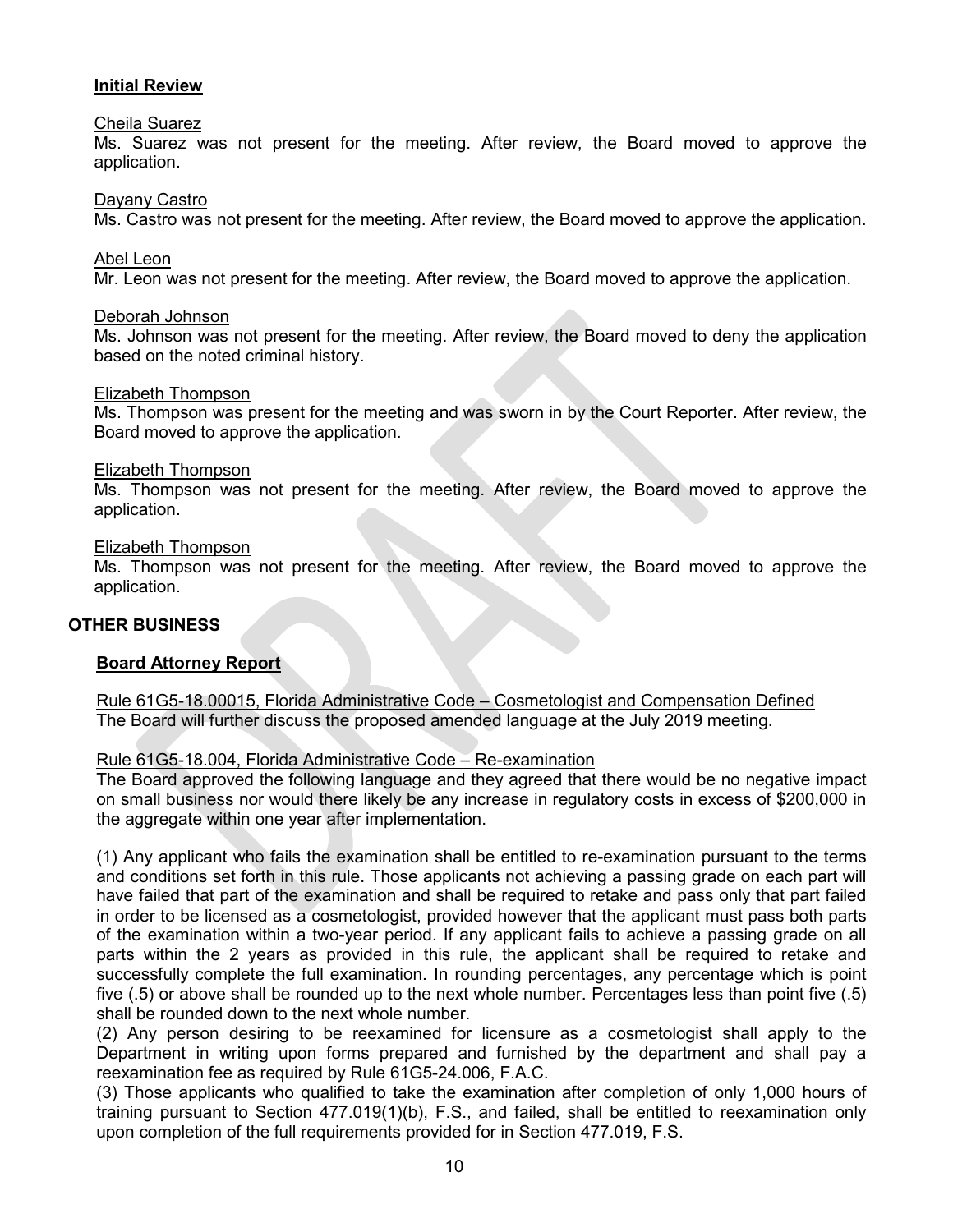## **Initial Review**

#### Cheila Suarez

Ms. Suarez was not present for the meeting. After review, the Board moved to approve the application.

#### Dayany Castro

Ms. Castro was not present for the meeting. After review, the Board moved to approve the application.

#### Abel Leon

Mr. Leon was not present for the meeting. After review, the Board moved to approve the application.

#### Deborah Johnson

Ms. Johnson was not present for the meeting. After review, the Board moved to deny the application based on the noted criminal history.

#### Elizabeth Thompson

Ms. Thompson was present for the meeting and was sworn in by the Court Reporter. After review, the Board moved to approve the application.

#### Elizabeth Thompson

Ms. Thompson was not present for the meeting. After review, the Board moved to approve the application.

#### Elizabeth Thompson

Ms. Thompson was not present for the meeting. After review, the Board moved to approve the application.

#### **OTHER BUSINESS**

#### **Board Attorney Report**

Rule 61G5-18.00015, Florida Administrative Code – Cosmetologist and Compensation Defined The Board will further discuss the proposed amended language at the July 2019 meeting.

#### Rule 61G5-18.004, Florida Administrative Code – Re-examination

The Board approved the following language and they agreed that there would be no negative impact on small business nor would there likely be any increase in regulatory costs in excess of \$200,000 in the aggregate within one year after implementation.

(1) Any applicant who fails the examination shall be entitled to re-examination pursuant to the terms and conditions set forth in this rule. Those applicants not achieving a passing grade on each part will have failed that part of the examination and shall be required to retake and pass only that part failed in order to be licensed as a cosmetologist, provided however that the applicant must pass both parts of the examination within a two-year period. If any applicant fails to achieve a passing grade on all parts within the 2 years as provided in this rule, the applicant shall be required to retake and successfully complete the full examination. In rounding percentages, any percentage which is point five (.5) or above shall be rounded up to the next whole number. Percentages less than point five (.5) shall be rounded down to the next whole number.

(2) Any person desiring to be reexamined for licensure as a cosmetologist shall apply to the Department in writing upon forms prepared and furnished by the department and shall pay a reexamination fee as required by Rule 61G5-24.006, F.A.C.

(3) Those applicants who qualified to take the examination after completion of only 1,000 hours of training pursuant to Section 477.019(1)(b), F.S., and failed, shall be entitled to reexamination only upon completion of the full requirements provided for in Section 477.019, F.S.